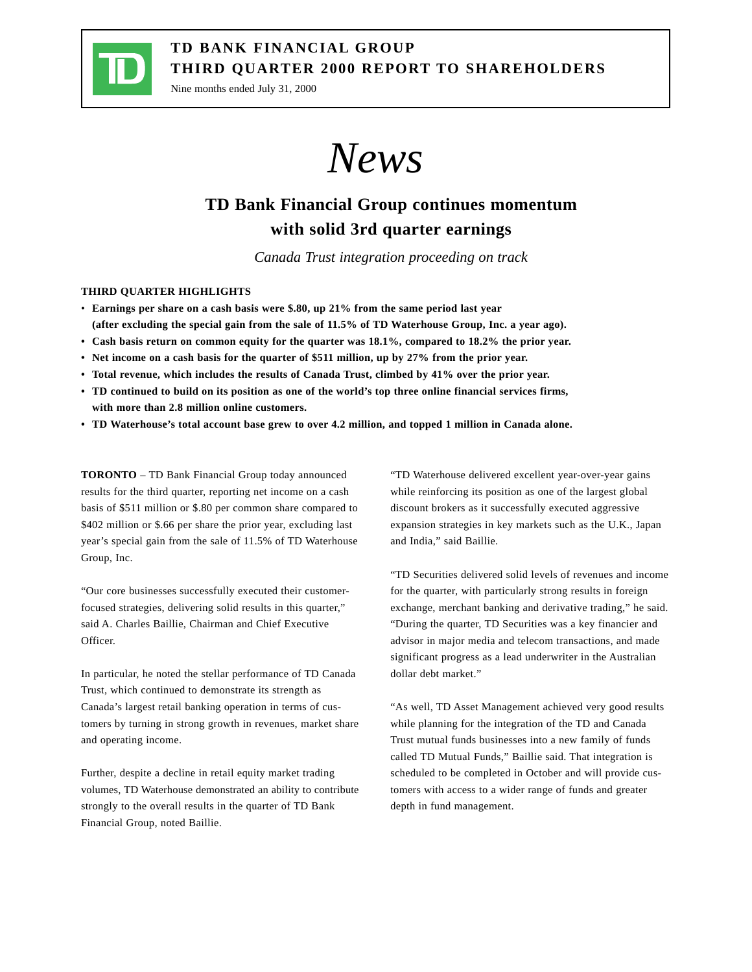

## **TD BANK FINANCIAL GROUP THIRD QUARTER 2000 REPORT TO SHAREHOLDERS**

Nine months ended July 31, 2000

*News*

# **TD Bank Financial Group continues momentum with solid 3rd quarter earnings**

*Canada Trust integration proceeding on track*

## **THIRD QUARTER HIGHLIGHTS**

- **Earnings per share on a cash basis were \$.80, up 21% from the same period last year (after excluding the special gain from the sale of 11.5% of TD Waterhouse Group, Inc. a year ago).**
- **Cash basis return on common equity for the quarter was 18.1%, compared to 18.2% the prior year.**
- **Net income on a cash basis for the quarter of \$511 million, up by 27% from the prior year.**
- **Total revenue, which includes the results of Canada Trust, climbed by 41% over the prior year.**
- **TD continued to build on its position as one of the world's top three online financial services firms, with more than 2.8 million online customers.**
- **TD Waterhouse's total account base grew to over 4.2 million, and topped 1 million in Canada alone.**

**TORONTO** – TD Bank Financial Group today announced results for the third quarter, reporting net income on a cash basis of \$511 million or \$.80 per common share compared to \$402 million or \$.66 per share the prior year, excluding last year's special gain from the sale of 11.5% of TD Waterhouse Group, Inc.

"Our core businesses successfully executed their customerfocused strategies, delivering solid results in this quarter," said A. Charles Baillie, Chairman and Chief Executive Officer.

In particular, he noted the stellar performance of TD Canada Trust, which continued to demonstrate its strength as Canada's largest retail banking operation in terms of customers by turning in strong growth in revenues, market share and operating income.

Further, despite a decline in retail equity market trading volumes, TD Waterhouse demonstrated an ability to contribute strongly to the overall results in the quarter of TD Bank Financial Group, noted Baillie.

"TD Waterhouse delivered excellent year-over-year gains while reinforcing its position as one of the largest global discount brokers as it successfully executed aggressive expansion strategies in key markets such as the U.K., Japan and India," said Baillie.

"TD Securities delivered solid levels of revenues and income for the quarter, with particularly strong results in foreign exchange, merchant banking and derivative trading," he said. "During the quarter, TD Securities was a key financier and advisor in major media and telecom transactions, and made significant progress as a lead underwriter in the Australian dollar debt market."

"As well, TD Asset Management achieved very good results while planning for the integration of the TD and Canada Trust mutual funds businesses into a new family of funds called TD Mutual Funds," Baillie said. That integration is scheduled to be completed in October and will provide customers with access to a wider range of funds and greater depth in fund management.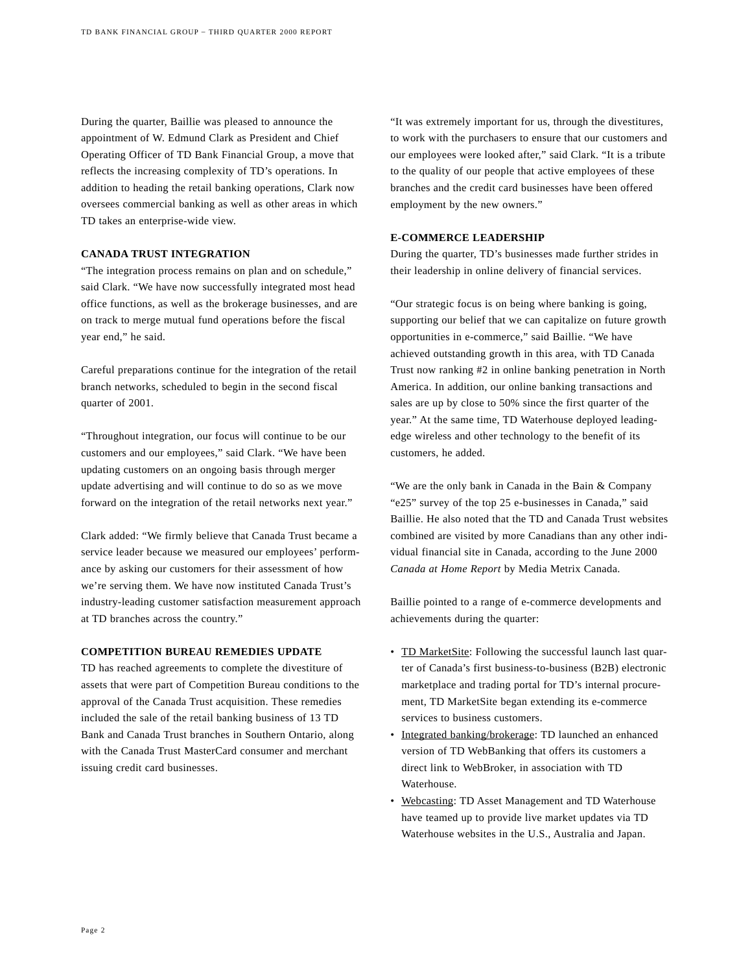During the quarter, Baillie was pleased to announce the appointment of W. Edmund Clark as President and Chief Operating Officer of TD Bank Financial Group, a move that reflects the increasing complexity of TD's operations. In addition to heading the retail banking operations, Clark now oversees commercial banking as well as other areas in which TD takes an enterprise-wide view.

## **CANADA TRUST INTEGRATION**

"The integration process remains on plan and on schedule," said Clark. "We have now successfully integrated most head office functions, as well as the brokerage businesses, and are on track to merge mutual fund operations before the fiscal year end," he said.

Careful preparations continue for the integration of the retail branch networks, scheduled to begin in the second fiscal quarter of 2001.

"Throughout integration, our focus will continue to be our customers and our employees," said Clark. "We have been updating customers on an ongoing basis through merger update advertising and will continue to do so as we move forward on the integration of the retail networks next year."

Clark added: "We firmly believe that Canada Trust became a service leader because we measured our employees' performance by asking our customers for their assessment of how we're serving them. We have now instituted Canada Trust's industry-leading customer satisfaction measurement approach at TD branches across the country."

### **COMPETITION BUREAU REMEDIES UPDATE**

TD has reached agreements to complete the divestiture of assets that were part of Competition Bureau conditions to the approval of the Canada Trust acquisition. These remedies included the sale of the retail banking business of 13 TD Bank and Canada Trust branches in Southern Ontario, along with the Canada Trust MasterCard consumer and merchant issuing credit card businesses.

"It was extremely important for us, through the divestitures, to work with the purchasers to ensure that our customers and our employees were looked after," said Clark. "It is a tribute to the quality of our people that active employees of these branches and the credit card businesses have been offered employment by the new owners."

### **E-COMMERCE LEADERSHIP**

During the quarter, TD's businesses made further strides in their leadership in online delivery of financial services.

"Our strategic focus is on being where banking is going, supporting our belief that we can capitalize on future growth opportunities in e-commerce," said Baillie. "We have achieved outstanding growth in this area, with TD Canada Trust now ranking #2 in online banking penetration in North America. In addition, our online banking transactions and sales are up by close to 50% since the first quarter of the year." At the same time, TD Waterhouse deployed leadingedge wireless and other technology to the benefit of its customers, he added.

"We are the only bank in Canada in the Bain & Company "e25" survey of the top 25 e-businesses in Canada," said Baillie. He also noted that the TD and Canada Trust websites combined are visited by more Canadians than any other individual financial site in Canada, according to the June 2000 *Canada at Home Report* by Media Metrix Canada.

Baillie pointed to a range of e-commerce developments and achievements during the quarter:

- TD MarketSite: Following the successful launch last quarter of Canada's first business-to-business (B2B) electronic marketplace and trading portal for TD's internal procurement, TD MarketSite began extending its e-commerce services to business customers.
- Integrated banking/brokerage: TD launched an enhanced version of TD WebBanking that offers its customers a direct link to WebBroker, in association with TD Waterhouse.
- Webcasting: TD Asset Management and TD Waterhouse have teamed up to provide live market updates via TD Waterhouse websites in the U.S., Australia and Japan.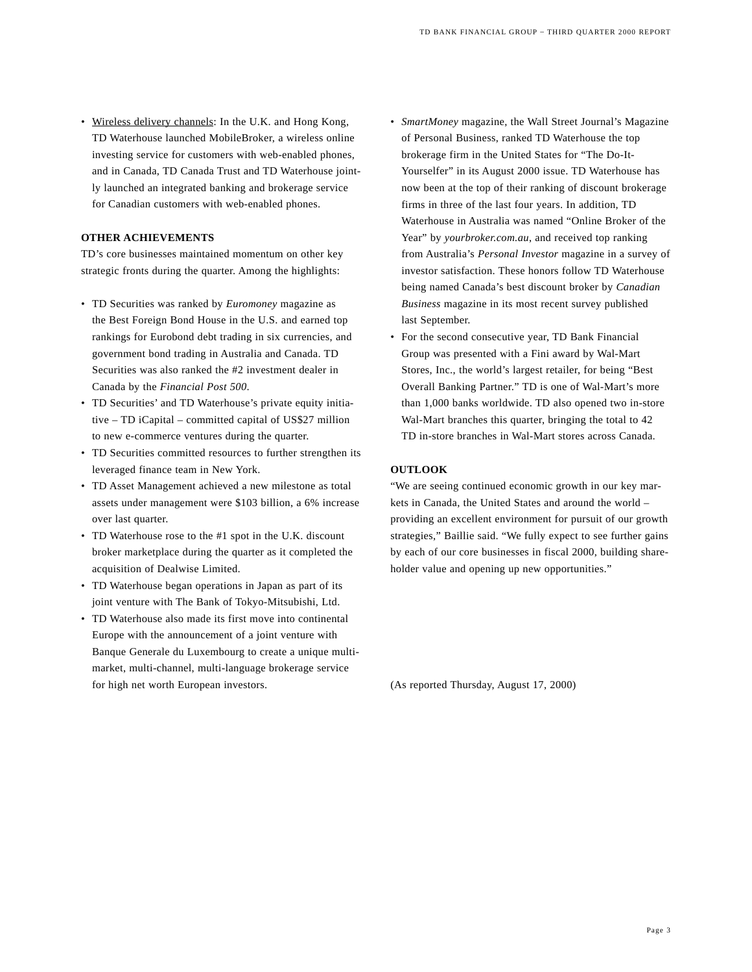• Wireless delivery channels: In the U.K. and Hong Kong, TD Waterhouse launched MobileBroker, a wireless online investing service for customers with web-enabled phones, and in Canada, TD Canada Trust and TD Waterhouse jointly launched an integrated banking and brokerage service for Canadian customers with web-enabled phones.

### **OTHER ACHIEVEMENTS**

TD's core businesses maintained momentum on other key strategic fronts during the quarter. Among the highlights:

- TD Securities was ranked by *Euromoney* magazine as the Best Foreign Bond House in the U.S. and earned top rankings for Eurobond debt trading in six currencies, and government bond trading in Australia and Canada. TD Securities was also ranked the #2 investment dealer in Canada by the *Financial Post 500*.
- TD Securities' and TD Waterhouse's private equity initiative – TD iCapital – committed capital of US\$27 million to new e-commerce ventures during the quarter.
- TD Securities committed resources to further strengthen its leveraged finance team in New York.
- TD Asset Management achieved a new milestone as total assets under management were \$103 billion, a 6% increase over last quarter.
- TD Waterhouse rose to the #1 spot in the U.K. discount broker marketplace during the quarter as it completed the acquisition of Dealwise Limited.
- TD Waterhouse began operations in Japan as part of its joint venture with The Bank of Tokyo-Mitsubishi, Ltd.
- TD Waterhouse also made its first move into continental Europe with the announcement of a joint venture with Banque Generale du Luxembourg to create a unique multimarket, multi-channel, multi-language brokerage service for high net worth European investors.
- *SmartMoney* magazine, the Wall Street Journal's Magazine of Personal Business, ranked TD Waterhouse the top brokerage firm in the United States for "The Do-It-Yourselfer" in its August 2000 issue. TD Waterhouse has now been at the top of their ranking of discount brokerage firms in three of the last four years. In addition, TD Waterhouse in Australia was named "Online Broker of the Year" by *yourbroker.com.au*, and received top ranking from Australia's *Personal Investor* magazine in a survey of investor satisfaction. These honors follow TD Waterhouse being named Canada's best discount broker by *Canadian Business* magazine in its most recent survey published last September.
- For the second consecutive year, TD Bank Financial Group was presented with a Fini award by Wal-Mart Stores, Inc., the world's largest retailer, for being "Best Overall Banking Partner." TD is one of Wal-Mart's more than 1,000 banks worldwide. TD also opened two in-store Wal-Mart branches this quarter, bringing the total to 42 TD in-store branches in Wal-Mart stores across Canada.

#### **OUTLOOK**

"We are seeing continued economic growth in our key markets in Canada, the United States and around the world – providing an excellent environment for pursuit of our growth strategies," Baillie said. "We fully expect to see further gains by each of our core businesses in fiscal 2000, building shareholder value and opening up new opportunities."

(As reported Thursday, August 17, 2000)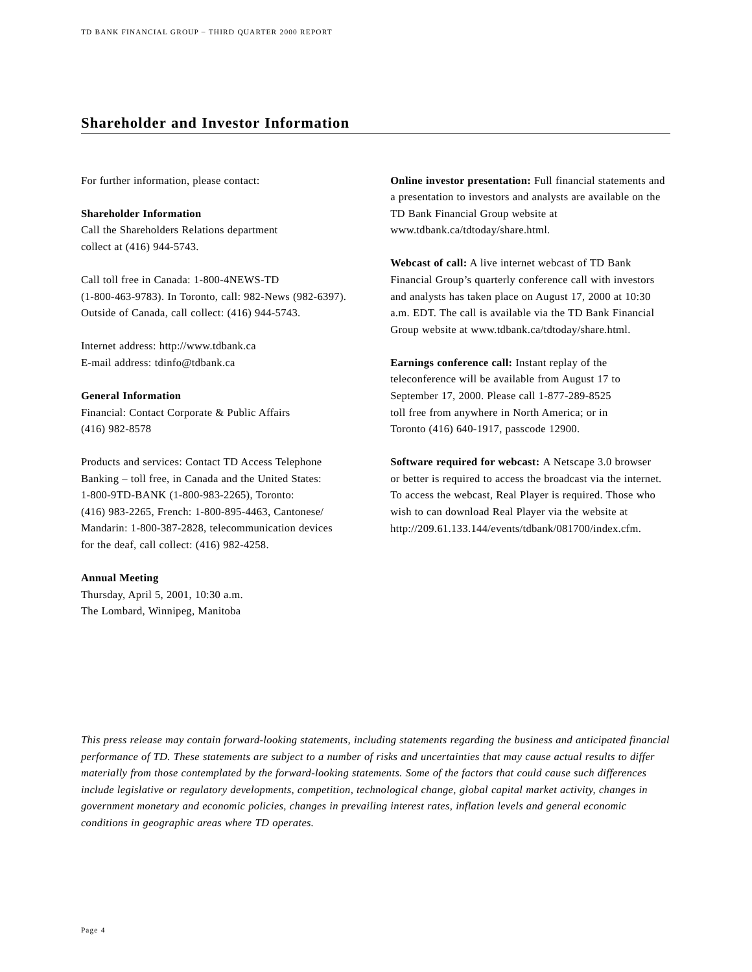## **Shareholder and Investor Information**

For further information, please contact:

**Shareholder Information** Call the Shareholders Relations department collect at (416) 944-5743.

Call toll free in Canada: 1-800-4NEWS-TD (1-800-463-9783). In Toronto, call: 982-News (982-6397). Outside of Canada, call collect: (416) 944-5743.

Internet address: http://www.tdbank.ca E-mail address: tdinfo@tdbank.ca

#### **General Information**

Financial: Contact Corporate & Public Affairs (416) 982-8578

Products and services: Contact TD Access Telephone Banking – toll free, in Canada and the United States: 1-800-9TD-BANK (1-800-983-2265), Toronto: (416) 983-2265, French: 1-800-895-4463, Cantonese/ Mandarin: 1-800-387-2828, telecommunication devices for the deaf, call collect: (416) 982-4258.

#### **Annual Meeting**

Thursday, April 5, 2001, 10:30 a.m. The Lombard, Winnipeg, Manitoba

**Online investor presentation:** Full financial statements and a presentation to investors and analysts are available on the TD Bank Financial Group website at www.tdbank.ca/tdtoday/share.html.

**Webcast of call:** A live internet webcast of TD Bank Financial Group's quarterly conference call with investors and analysts has taken place on August 17, 2000 at 10:30 a.m. EDT. The call is available via the TD Bank Financial Group website at www.tdbank.ca/tdtoday/share.html.

**Earnings conference call:** Instant replay of the teleconference will be available from August 17 to September 17, 2000. Please call 1-877-289-8525 toll free from anywhere in North America; or in Toronto (416) 640-1917, passcode 12900.

**Software required for webcast:** A Netscape 3.0 browser or better is required to access the broadcast via the internet. To access the webcast, Real Player is required. Those who wish to can download Real Player via the website at http://209.61.133.144/events/tdbank/081700/index.cfm.

*This press release may contain forward-looking statements, including statements regarding the business and anticipated financial performance of TD. These statements are subject to a number of risks and uncertainties that may cause actual results to differ materially from those contemplated by the forward-looking statements. Some of the factors that could cause such differences include legislative or regulatory developments, competition, technological change, global capital market activity, changes in government monetary and economic policies, changes in prevailing interest rates, inflation levels and general economic conditions in geographic areas where TD operates.*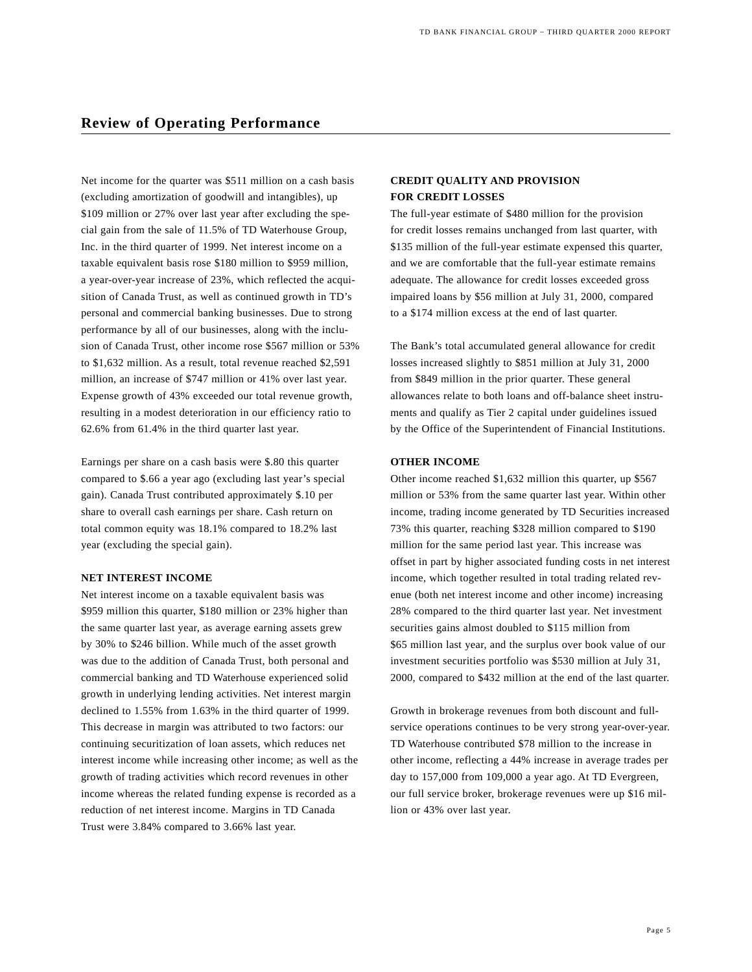Net income for the quarter was \$511 million on a cash basis (excluding amortization of goodwill and intangibles), up \$109 million or 27% over last year after excluding the special gain from the sale of 11.5% of TD Waterhouse Group, Inc. in the third quarter of 1999. Net interest income on a taxable equivalent basis rose \$180 million to \$959 million, a year-over-year increase of 23%, which reflected the acquisition of Canada Trust, as well as continued growth in TD's personal and commercial banking businesses. Due to strong performance by all of our businesses, along with the inclusion of Canada Trust, other income rose \$567 million or 53% to \$1,632 million. As a result, total revenue reached \$2,591 million, an increase of \$747 million or 41% over last year. Expense growth of 43% exceeded our total revenue growth, resulting in a modest deterioration in our efficiency ratio to 62.6% from 61.4% in the third quarter last year.

Earnings per share on a cash basis were \$.80 this quarter compared to \$.66 a year ago (excluding last year's special gain). Canada Trust contributed approximately \$.10 per share to overall cash earnings per share. Cash return on total common equity was 18.1% compared to 18.2% last year (excluding the special gain).

#### **NET INTEREST INCOME**

Net interest income on a taxable equivalent basis was \$959 million this quarter, \$180 million or 23% higher than the same quarter last year, as average earning assets grew by 30% to \$246 billion. While much of the asset growth was due to the addition of Canada Trust, both personal and commercial banking and TD Waterhouse experienced solid growth in underlying lending activities. Net interest margin declined to 1.55% from 1.63% in the third quarter of 1999. This decrease in margin was attributed to two factors: our continuing securitization of loan assets, which reduces net interest income while increasing other income; as well as the growth of trading activities which record revenues in other income whereas the related funding expense is recorded as a reduction of net interest income. Margins in TD Canada Trust were 3.84% compared to 3.66% last year.

## **CREDIT QUALITY AND PROVISION FOR CREDIT LOSSES**

The full-year estimate of \$480 million for the provision for credit losses remains unchanged from last quarter, with \$135 million of the full-year estimate expensed this quarter, and we are comfortable that the full-year estimate remains adequate. The allowance for credit losses exceeded gross impaired loans by \$56 million at July 31, 2000, compared to a \$174 million excess at the end of last quarter.

The Bank's total accumulated general allowance for credit losses increased slightly to \$851 million at July 31, 2000 from \$849 million in the prior quarter. These general allowances relate to both loans and off-balance sheet instruments and qualify as Tier 2 capital under guidelines issued by the Office of the Superintendent of Financial Institutions.

#### **OTHER INCOME**

Other income reached \$1,632 million this quarter, up \$567 million or 53% from the same quarter last year. Within other income, trading income generated by TD Securities increased 73% this quarter, reaching \$328 million compared to \$190 million for the same period last year. This increase was offset in part by higher associated funding costs in net interest income, which together resulted in total trading related revenue (both net interest income and other income) increasing 28% compared to the third quarter last year. Net investment securities gains almost doubled to \$115 million from \$65 million last year, and the surplus over book value of our investment securities portfolio was \$530 million at July 31, 2000, compared to \$432 million at the end of the last quarter.

Growth in brokerage revenues from both discount and fullservice operations continues to be very strong year-over-year. TD Waterhouse contributed \$78 million to the increase in other income, reflecting a 44% increase in average trades per day to 157,000 from 109,000 a year ago. At TD Evergreen, our full service broker, brokerage revenues were up \$16 million or 43% over last year.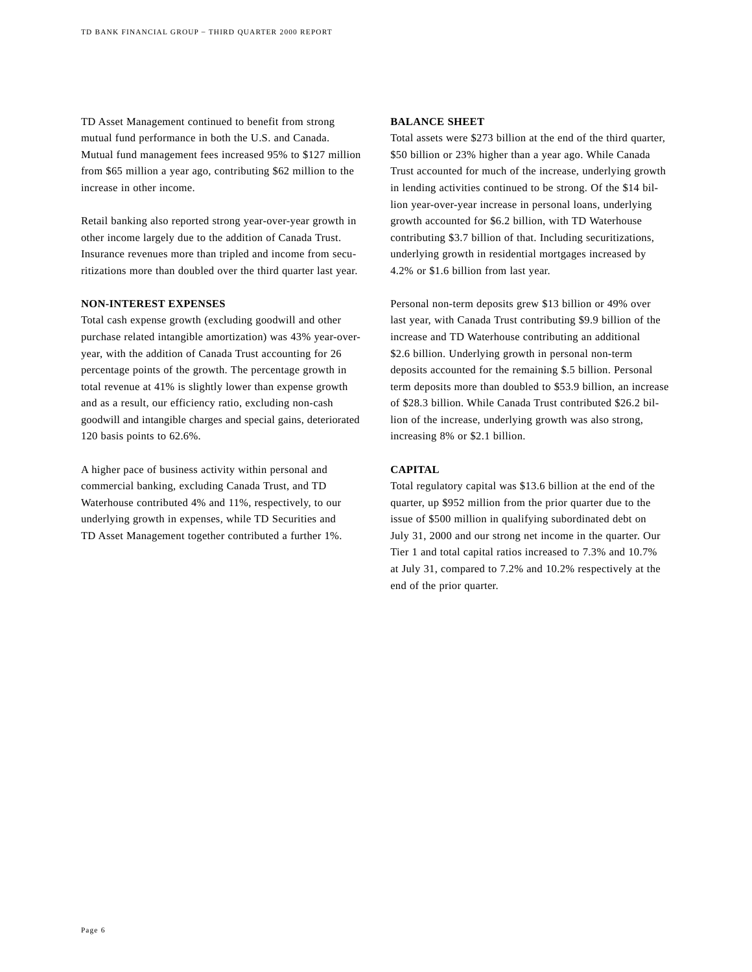TD Asset Management continued to benefit from strong mutual fund performance in both the U.S. and Canada. Mutual fund management fees increased 95% to \$127 million from \$65 million a year ago, contributing \$62 million to the increase in other income.

Retail banking also reported strong year-over-year growth in other income largely due to the addition of Canada Trust. Insurance revenues more than tripled and income from securitizations more than doubled over the third quarter last year.

### **NON-INTEREST EXPENSES**

Total cash expense growth (excluding goodwill and other purchase related intangible amortization) was 43% year-overyear, with the addition of Canada Trust accounting for 26 percentage points of the growth. The percentage growth in total revenue at 41% is slightly lower than expense growth and as a result, our efficiency ratio, excluding non-cash goodwill and intangible charges and special gains, deteriorated 120 basis points to 62.6%.

A higher pace of business activity within personal and commercial banking, excluding Canada Trust, and TD Waterhouse contributed 4% and 11%, respectively, to our underlying growth in expenses, while TD Securities and TD Asset Management together contributed a further 1%.

### **BALANCE SHEET**

Total assets were \$273 billion at the end of the third quarter, \$50 billion or 23% higher than a year ago. While Canada Trust accounted for much of the increase, underlying growth in lending activities continued to be strong. Of the \$14 billion year-over-year increase in personal loans, underlying growth accounted for \$6.2 billion, with TD Waterhouse contributing \$3.7 billion of that. Including securitizations, underlying growth in residential mortgages increased by 4.2% or \$1.6 billion from last year.

Personal non-term deposits grew \$13 billion or 49% over last year, with Canada Trust contributing \$9.9 billion of the increase and TD Waterhouse contributing an additional \$2.6 billion. Underlying growth in personal non-term deposits accounted for the remaining \$.5 billion. Personal term deposits more than doubled to \$53.9 billion, an increase of \$28.3 billion. While Canada Trust contributed \$26.2 billion of the increase, underlying growth was also strong, increasing 8% or \$2.1 billion.

### **CAPITAL**

Total regulatory capital was \$13.6 billion at the end of the quarter, up \$952 million from the prior quarter due to the issue of \$500 million in qualifying subordinated debt on July 31, 2000 and our strong net income in the quarter. Our Tier 1 and total capital ratios increased to 7.3% and 10.7% at July 31, compared to 7.2% and 10.2% respectively at the end of the prior quarter.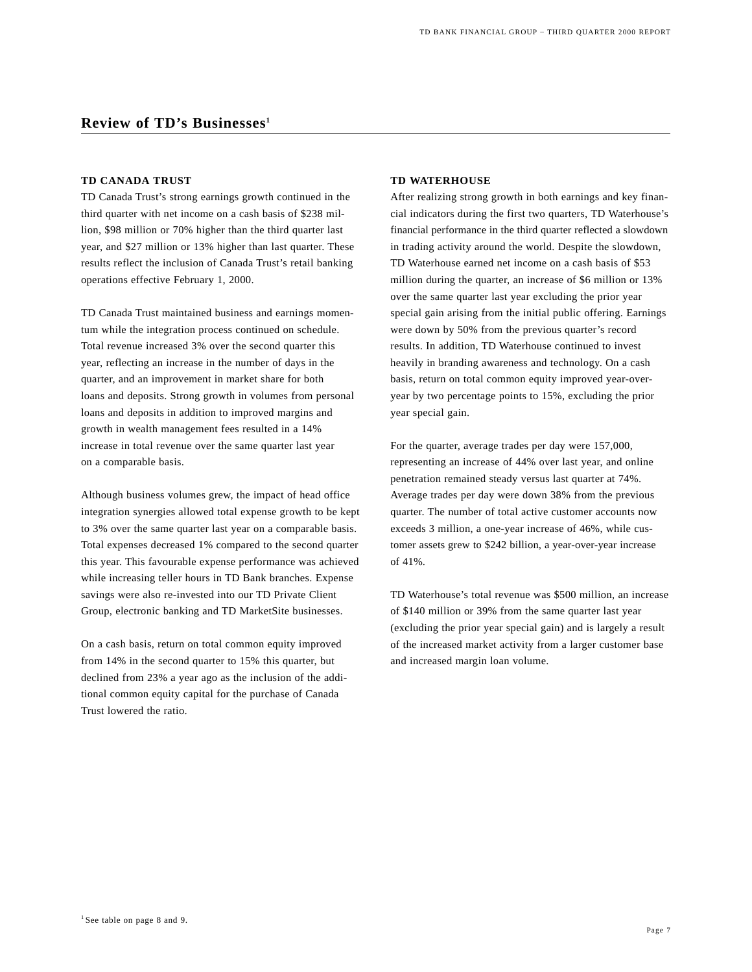## **Review of TD's Businesses1**

#### **TD CANADA TRUST**

TD Canada Trust's strong earnings growth continued in the third quarter with net income on a cash basis of \$238 million, \$98 million or 70% higher than the third quarter last year, and \$27 million or 13% higher than last quarter. These results reflect the inclusion of Canada Trust's retail banking operations effective February 1, 2000.

TD Canada Trust maintained business and earnings momentum while the integration process continued on schedule. Total revenue increased 3% over the second quarter this year, reflecting an increase in the number of days in the quarter, and an improvement in market share for both loans and deposits. Strong growth in volumes from personal loans and deposits in addition to improved margins and growth in wealth management fees resulted in a 14% increase in total revenue over the same quarter last year on a comparable basis.

Although business volumes grew, the impact of head office integration synergies allowed total expense growth to be kept to 3% over the same quarter last year on a comparable basis. Total expenses decreased 1% compared to the second quarter this year. This favourable expense performance was achieved while increasing teller hours in TD Bank branches. Expense savings were also re-invested into our TD Private Client Group, electronic banking and TD MarketSite businesses.

On a cash basis, return on total common equity improved from 14% in the second quarter to 15% this quarter, but declined from 23% a year ago as the inclusion of the additional common equity capital for the purchase of Canada Trust lowered the ratio.

#### **TD WATERHOUSE**

After realizing strong growth in both earnings and key financial indicators during the first two quarters, TD Waterhouse's financial performance in the third quarter reflected a slowdown in trading activity around the world. Despite the slowdown, TD Waterhouse earned net income on a cash basis of \$53 million during the quarter, an increase of \$6 million or 13% over the same quarter last year excluding the prior year special gain arising from the initial public offering. Earnings were down by 50% from the previous quarter's record results. In addition, TD Waterhouse continued to invest heavily in branding awareness and technology. On a cash basis, return on total common equity improved year-overyear by two percentage points to 15%, excluding the prior year special gain.

For the quarter, average trades per day were 157,000, representing an increase of 44% over last year, and online penetration remained steady versus last quarter at 74%. Average trades per day were down 38% from the previous quarter. The number of total active customer accounts now exceeds 3 million, a one-year increase of 46%, while customer assets grew to \$242 billion, a year-over-year increase of 41%.

TD Waterhouse's total revenue was \$500 million, an increase of \$140 million or 39% from the same quarter last year (excluding the prior year special gain) and is largely a result of the increased market activity from a larger customer base and increased margin loan volume.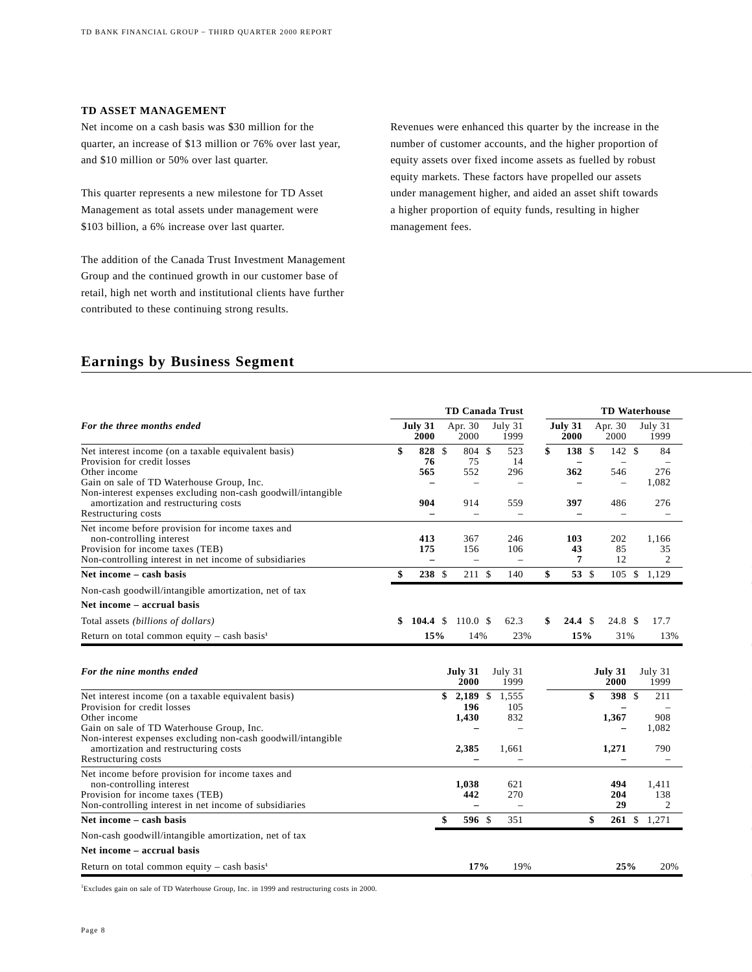#### **TD ASSET MANAGEMENT**

Net income on a cash basis was \$30 million for the quarter, an increase of \$13 million or 76% over last year, and \$10 million or 50% over last quarter.

This quarter represents a new milestone for TD Asset Management as total assets under management were \$103 billion, a 6% increase over last quarter.

The addition of the Canada Trust Investment Management Group and the continued growth in our customer base of retail, high net worth and institutional clients have further contributed to these continuing strong results.

Revenues were enhanced this quarter by the increase in the number of customer accounts, and the higher proportion of equity assets over fixed income assets as fuelled by robust equity markets. These factors have propelled our assets under management higher, and aided an asset shift towards a higher proportion of equity funds, resulting in higher management fees.

## **Earnings by Business Segment**

|                                                                                                                                                                            |                                        | <b>TD Canada Trust</b>                   |                                                 |                          | <b>TD Waterhouse</b>                       |                     |         |
|----------------------------------------------------------------------------------------------------------------------------------------------------------------------------|----------------------------------------|------------------------------------------|-------------------------------------------------|--------------------------|--------------------------------------------|---------------------|---------|
| For the three months ended                                                                                                                                                 | July 31<br>2000                        | Apr. 30<br>2000                          | July 31<br>1999                                 | July 31<br>2000          | Apr. 30<br>2000                            | July 31<br>1999     |         |
| Net interest income (on a taxable equivalent basis)<br>Provision for credit losses<br>Other income                                                                         | \$<br>828<br>76<br>565                 | \$<br>804 \$<br>75<br>552                | 523<br>14<br>296                                | \$<br>138 \$<br>362      | 142S<br>$\overline{\phantom{m}}$<br>546    | 276                 | 84      |
| Gain on sale of TD Waterhouse Group, Inc.<br>Non-interest expenses excluding non-cash goodwill/intangible<br>amortization and restructuring costs                          | 904                                    | $\overline{\phantom{0}}$<br>914          | $\overline{\phantom{0}}$<br>559                 | 397                      | $\overline{\phantom{0}}$<br>486            | 1,082<br>276        |         |
| Restructuring costs                                                                                                                                                        | $\overline{\phantom{0}}$               | $\overline{\phantom{0}}$                 | $\overline{\phantom{0}}$                        | $\overline{\phantom{0}}$ |                                            |                     |         |
| Net income before provision for income taxes and<br>non-controlling interest<br>Provision for income taxes (TEB)<br>Non-controlling interest in net income of subsidiaries | 413<br>175<br>$\overline{\phantom{0}}$ | 367<br>156<br>$\overline{\phantom{0}}$   | 246<br>106<br>$\overline{\phantom{0}}$          | 103<br>43<br>7           | 202<br>85<br>12                            | 1,166               | 35<br>2 |
| Net income - cash basis                                                                                                                                                    | \$<br>238 \$                           | 211 \$                                   | 140                                             | \$<br>$53 \text{ }$ \$   |                                            | 105 \$ 1,129        |         |
| Non-cash goodwill/intangible amortization, net of tax                                                                                                                      |                                        |                                          |                                                 |                          |                                            |                     |         |
| Net income – accrual basis                                                                                                                                                 |                                        |                                          |                                                 |                          |                                            |                     |         |
| Total assets (billions of dollars)                                                                                                                                         | \$<br>104.4 S                          | 110.0 S                                  | 62.3                                            | \$<br>$24.4 \text{ }$ \$ | 24.8 <sup>°</sup>                          | 17.7                |         |
| Return on total common equity – cash basis <sup>1</sup>                                                                                                                    | 15%                                    | 14%                                      | 23%                                             | 15%                      | 31%                                        |                     | 13%     |
| For the nine months ended                                                                                                                                                  |                                        | July 31<br>2000                          | July 31<br>1999                                 |                          | July 31<br>2000                            | July 31<br>1999     |         |
| Net interest income (on a taxable equivalent basis)<br>Provision for credit losses<br>Other income<br>Gain on sale of TD Waterhouse Group, Inc.                            |                                        | \$<br>$2,189$ \$<br>196<br>1,430         | 1,555<br>105<br>832<br>$\overline{\phantom{0}}$ |                          | \$<br>398 \$<br>1,367<br>$\qquad \qquad -$ | 211<br>908<br>1,082 |         |
| Non-interest expenses excluding non-cash goodwill/intangible<br>amortization and restructuring costs<br>Restructuring costs                                                |                                        | 2,385<br>$\overline{\phantom{0}}$        | 1,661<br>$\qquad \qquad -$                      |                          | 1,271<br>$\qquad \qquad -$                 | 790                 |         |
| Net income before provision for income taxes and<br>non-controlling interest<br>Provision for income taxes (TEB)<br>Non-controlling interest in net income of subsidiaries |                                        | 1,038<br>442<br>$\overline{\phantom{0}}$ | 621<br>270<br>$\overline{\phantom{0}}$          |                          | 494<br>204<br>29                           | 1,411<br>138        | 2       |
| Net income – cash basis                                                                                                                                                    |                                        | \$<br>596 \$                             | 351                                             |                          | \$<br>261S                                 | 1,271               |         |
| Non-cash goodwill/intangible amortization, net of tax                                                                                                                      |                                        |                                          |                                                 |                          |                                            |                     |         |
| Net income – accrual basis                                                                                                                                                 |                                        |                                          |                                                 |                          |                                            |                     |         |
| Return on total common equity - cash basis <sup>1</sup>                                                                                                                    |                                        | 17%                                      | 19%                                             |                          | 25%                                        |                     | 20%     |

1 Excludes gain on sale of TD Waterhouse Group, Inc. in 1999 and restructuring costs in 2000.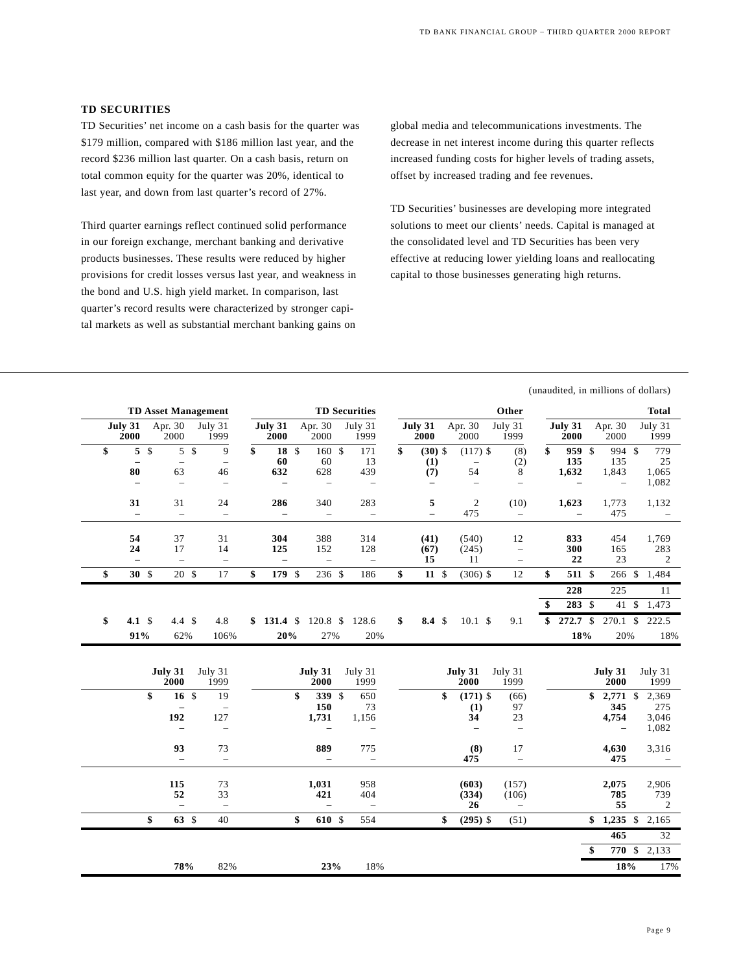#### **TD SECURITIES**

TD Securities' net income on a cash basis for the quarter was \$179 million, compared with \$186 million last year, and the record \$236 million last quarter. On a cash basis, return on total common equity for the quarter was 20%, identical to last year, and down from last quarter's record of 27%.

Third quarter earnings reflect continued solid performance in our foreign exchange, merchant banking and derivative products businesses. These results were reduced by higher provisions for credit losses versus last year, and weakness in the bond and U.S. high yield market. In comparison, last quarter's record results were characterized by stronger capital markets as well as substantial merchant banking gains on

global media and telecommunications investments. The decrease in net interest income during this quarter reflects increased funding costs for higher levels of trading assets, offset by increased trading and fee revenues.

TD Securities' businesses are developing more integrated solutions to meet our clients' needs. Capital is managed at the consolidated level and TD Securities has been very effective at reducing lower yielding loans and reallocating capital to those businesses generating high returns.

(unaudited, in millions of dollars)

| Apr. 30<br>July 31<br>Apr. 30<br>July 31<br>Apr. 30<br>July 31<br>July 31<br>July 31<br>July 31<br>July 31<br>Apr. 30<br>July 31<br>2000<br>1999<br>2000<br>1999<br>2000<br>2000<br>1999<br>2000<br>2000<br>1999<br>2000<br>2000<br>5<br>$\mathcal{S}$<br>5 <sup>5</sup><br>18 \$<br>160 \$<br>959 \$<br>\$<br>9<br>\$<br>171<br>\$<br>$(30)$ \$<br>$(117)$ \$<br>\$<br>994 \$<br>779<br>(8)<br>135<br>60<br>60<br>135<br>25<br>13<br>(2)<br>(1)<br>$\qquad \qquad -$<br>$\overline{\phantom{0}}$<br>$\overline{\phantom{0}}$<br>63<br>628<br>54<br>80<br>632<br>439<br>(7)<br>8<br>1,632<br>1,843<br>1,065<br>46<br>1,082<br>$\overline{\phantom{0}}$<br>$\overline{\phantom{0}}$<br>$\overline{a}$<br>$\overline{\phantom{0}}$<br>$\overline{\phantom{0}}$<br>$\qquad \qquad -$<br>$\overline{\phantom{0}}$<br>$\overline{\phantom{0}}$<br>31<br>283<br>$\overline{c}$<br>31<br>24<br>286<br>340<br>5<br>(10)<br>1,623<br>1,773<br>1,132<br>475<br>475<br>$\qquad \qquad -$<br>$\overline{\phantom{m}}$<br>$\qquad \qquad -$<br>$\qquad \qquad -$<br>$\overline{\phantom{0}}$<br>$\qquad \qquad -$<br>$\overline{\phantom{0}}$<br>$\overline{\phantom{0}}$<br>$\overline{\phantom{0}}$<br>$\qquad \qquad -$<br>54<br>37<br>31<br>304<br>388<br>314<br>12<br>(41)<br>(540)<br>833<br>454<br>1,769<br>24<br>17<br>14<br>125<br>128<br>300<br>165<br>283<br>152<br>(67)<br>(245)<br>$\qquad \qquad -$<br>22<br>23<br>15<br>11<br>2<br>$\equiv$<br>$\qquad \qquad -$<br>$\overline{\phantom{0}}$<br>$\overline{\phantom{a}}$<br>$\overline{\phantom{a}}$<br>$\qquad \qquad -$<br>$\overline{\phantom{m}}$<br>20 \$<br>\$<br>12<br>\$<br>30 <sup>5</sup><br>17<br>\$<br>179 \$<br>$236$ \$<br>$11 \text{ }$<br>$(306)$ \$<br>511 \$<br>$266$ \$<br>\$<br>186<br>1,484<br>228<br>225<br>11<br>283 \$<br>$41 \text{ }$ \$<br>\$<br>1,473<br>272.7 \$<br>\$<br>4.1 $\sqrt$<br>4.4 <sup>5</sup><br>4.8<br>$120.8$ \$<br>\$<br>10.1 S<br>9.1<br>$270.1$ \$<br>\$131.4\$<br>128.6<br>$8.4 \text{ }$ \$<br>\$<br>222.5<br>91%<br>20%<br>18%<br>62%<br>106%<br>27%<br>20%<br>20%<br>18%<br>July 31<br>July 31<br>July 31<br>July 31<br>July 31<br>July 31<br>July 31<br>July 31<br>2000<br>1999<br>2000<br>1999<br>2000<br>1999<br>2000<br>1999<br>\$<br>339 \$<br>16 <sup>°</sup><br>19<br>\$<br>650<br>\$<br>$(171)$ \$<br>$2,771$ \$<br>2,369<br>(66)<br>\$<br>150<br>345<br>275<br>73<br>(1)<br>97<br>192<br>34<br>4,754<br>127<br>1,731<br>1,156<br>23<br>3,046<br>1,082<br>$\overline{\phantom{0}}$<br>$\overline{\phantom{m}}$<br>$\overline{\phantom{0}}$<br>$\overline{\phantom{m}}$<br>$\overline{\phantom{0}}$<br>$\overline{\phantom{a}}$<br>$\overline{\phantom{0}}$<br>93<br>889<br>73<br>775<br>(8)<br>17<br>3,316<br>4,630<br>475<br>475<br>$\overline{\phantom{0}}$<br>$\qquad \qquad -$<br>$\overline{\phantom{0}}$<br>$\equiv$<br>$\overline{\phantom{0}}$<br>$\overline{\phantom{m}}$<br>115<br>73<br>1,031<br>(603)<br>2,075<br>2,906<br>958<br>(157)<br>52<br>33<br>421<br>404<br>785<br>739<br>(334)<br>(106)<br>55<br>26<br>2<br>$\equiv$<br>$\qquad \qquad -$<br>$\equiv$<br>$\equiv$<br>$\overline{\phantom{0}}$<br>63 \$<br>\$<br>\$<br>610 \$<br>$$1,235$ \$<br>40<br>554<br>\$<br>$(295)$ \$<br>2,165<br>(51)<br>465<br>32<br>\$<br>770 \$ 2,133<br>18%<br>17%<br>78%<br>82%<br>23%<br>18% |  |  | <b>TD Asset Management</b> |  |  |  | <b>TD Securities</b> |  |  | Other |  |  | <b>Total</b> |
|--------------------------------------------------------------------------------------------------------------------------------------------------------------------------------------------------------------------------------------------------------------------------------------------------------------------------------------------------------------------------------------------------------------------------------------------------------------------------------------------------------------------------------------------------------------------------------------------------------------------------------------------------------------------------------------------------------------------------------------------------------------------------------------------------------------------------------------------------------------------------------------------------------------------------------------------------------------------------------------------------------------------------------------------------------------------------------------------------------------------------------------------------------------------------------------------------------------------------------------------------------------------------------------------------------------------------------------------------------------------------------------------------------------------------------------------------------------------------------------------------------------------------------------------------------------------------------------------------------------------------------------------------------------------------------------------------------------------------------------------------------------------------------------------------------------------------------------------------------------------------------------------------------------------------------------------------------------------------------------------------------------------------------------------------------------------------------------------------------------------------------------------------------------------------------------------------------------------------------------------------------------------------------------------------------------------------------------------------------------------------------------------------------------------------------------------------------------------------------------------------------------------------------------------------------------------------------------------------------------------------------------------------------------------------------------------------------------------------------------------------------------------------------------------------------------------------------------------------------------------------------------------------------------------------------------------------------------------------------------------------------------------------------------------------------------------------------------------------------------------------------------------------------------------------------------------------------------------------------------------------------------------------------------------------------------|--|--|----------------------------|--|--|--|----------------------|--|--|-------|--|--|--------------|
|                                                                                                                                                                                                                                                                                                                                                                                                                                                                                                                                                                                                                                                                                                                                                                                                                                                                                                                                                                                                                                                                                                                                                                                                                                                                                                                                                                                                                                                                                                                                                                                                                                                                                                                                                                                                                                                                                                                                                                                                                                                                                                                                                                                                                                                                                                                                                                                                                                                                                                                                                                                                                                                                                                                                                                                                                                                                                                                                                                                                                                                                                                                                                                                                                                                                                                              |  |  |                            |  |  |  |                      |  |  |       |  |  |              |
|                                                                                                                                                                                                                                                                                                                                                                                                                                                                                                                                                                                                                                                                                                                                                                                                                                                                                                                                                                                                                                                                                                                                                                                                                                                                                                                                                                                                                                                                                                                                                                                                                                                                                                                                                                                                                                                                                                                                                                                                                                                                                                                                                                                                                                                                                                                                                                                                                                                                                                                                                                                                                                                                                                                                                                                                                                                                                                                                                                                                                                                                                                                                                                                                                                                                                                              |  |  |                            |  |  |  |                      |  |  |       |  |  |              |
|                                                                                                                                                                                                                                                                                                                                                                                                                                                                                                                                                                                                                                                                                                                                                                                                                                                                                                                                                                                                                                                                                                                                                                                                                                                                                                                                                                                                                                                                                                                                                                                                                                                                                                                                                                                                                                                                                                                                                                                                                                                                                                                                                                                                                                                                                                                                                                                                                                                                                                                                                                                                                                                                                                                                                                                                                                                                                                                                                                                                                                                                                                                                                                                                                                                                                                              |  |  |                            |  |  |  |                      |  |  |       |  |  |              |
|                                                                                                                                                                                                                                                                                                                                                                                                                                                                                                                                                                                                                                                                                                                                                                                                                                                                                                                                                                                                                                                                                                                                                                                                                                                                                                                                                                                                                                                                                                                                                                                                                                                                                                                                                                                                                                                                                                                                                                                                                                                                                                                                                                                                                                                                                                                                                                                                                                                                                                                                                                                                                                                                                                                                                                                                                                                                                                                                                                                                                                                                                                                                                                                                                                                                                                              |  |  |                            |  |  |  |                      |  |  |       |  |  |              |
|                                                                                                                                                                                                                                                                                                                                                                                                                                                                                                                                                                                                                                                                                                                                                                                                                                                                                                                                                                                                                                                                                                                                                                                                                                                                                                                                                                                                                                                                                                                                                                                                                                                                                                                                                                                                                                                                                                                                                                                                                                                                                                                                                                                                                                                                                                                                                                                                                                                                                                                                                                                                                                                                                                                                                                                                                                                                                                                                                                                                                                                                                                                                                                                                                                                                                                              |  |  |                            |  |  |  |                      |  |  |       |  |  |              |
|                                                                                                                                                                                                                                                                                                                                                                                                                                                                                                                                                                                                                                                                                                                                                                                                                                                                                                                                                                                                                                                                                                                                                                                                                                                                                                                                                                                                                                                                                                                                                                                                                                                                                                                                                                                                                                                                                                                                                                                                                                                                                                                                                                                                                                                                                                                                                                                                                                                                                                                                                                                                                                                                                                                                                                                                                                                                                                                                                                                                                                                                                                                                                                                                                                                                                                              |  |  |                            |  |  |  |                      |  |  |       |  |  |              |
|                                                                                                                                                                                                                                                                                                                                                                                                                                                                                                                                                                                                                                                                                                                                                                                                                                                                                                                                                                                                                                                                                                                                                                                                                                                                                                                                                                                                                                                                                                                                                                                                                                                                                                                                                                                                                                                                                                                                                                                                                                                                                                                                                                                                                                                                                                                                                                                                                                                                                                                                                                                                                                                                                                                                                                                                                                                                                                                                                                                                                                                                                                                                                                                                                                                                                                              |  |  |                            |  |  |  |                      |  |  |       |  |  |              |
|                                                                                                                                                                                                                                                                                                                                                                                                                                                                                                                                                                                                                                                                                                                                                                                                                                                                                                                                                                                                                                                                                                                                                                                                                                                                                                                                                                                                                                                                                                                                                                                                                                                                                                                                                                                                                                                                                                                                                                                                                                                                                                                                                                                                                                                                                                                                                                                                                                                                                                                                                                                                                                                                                                                                                                                                                                                                                                                                                                                                                                                                                                                                                                                                                                                                                                              |  |  |                            |  |  |  |                      |  |  |       |  |  |              |
|                                                                                                                                                                                                                                                                                                                                                                                                                                                                                                                                                                                                                                                                                                                                                                                                                                                                                                                                                                                                                                                                                                                                                                                                                                                                                                                                                                                                                                                                                                                                                                                                                                                                                                                                                                                                                                                                                                                                                                                                                                                                                                                                                                                                                                                                                                                                                                                                                                                                                                                                                                                                                                                                                                                                                                                                                                                                                                                                                                                                                                                                                                                                                                                                                                                                                                              |  |  |                            |  |  |  |                      |  |  |       |  |  |              |
|                                                                                                                                                                                                                                                                                                                                                                                                                                                                                                                                                                                                                                                                                                                                                                                                                                                                                                                                                                                                                                                                                                                                                                                                                                                                                                                                                                                                                                                                                                                                                                                                                                                                                                                                                                                                                                                                                                                                                                                                                                                                                                                                                                                                                                                                                                                                                                                                                                                                                                                                                                                                                                                                                                                                                                                                                                                                                                                                                                                                                                                                                                                                                                                                                                                                                                              |  |  |                            |  |  |  |                      |  |  |       |  |  |              |
|                                                                                                                                                                                                                                                                                                                                                                                                                                                                                                                                                                                                                                                                                                                                                                                                                                                                                                                                                                                                                                                                                                                                                                                                                                                                                                                                                                                                                                                                                                                                                                                                                                                                                                                                                                                                                                                                                                                                                                                                                                                                                                                                                                                                                                                                                                                                                                                                                                                                                                                                                                                                                                                                                                                                                                                                                                                                                                                                                                                                                                                                                                                                                                                                                                                                                                              |  |  |                            |  |  |  |                      |  |  |       |  |  |              |
|                                                                                                                                                                                                                                                                                                                                                                                                                                                                                                                                                                                                                                                                                                                                                                                                                                                                                                                                                                                                                                                                                                                                                                                                                                                                                                                                                                                                                                                                                                                                                                                                                                                                                                                                                                                                                                                                                                                                                                                                                                                                                                                                                                                                                                                                                                                                                                                                                                                                                                                                                                                                                                                                                                                                                                                                                                                                                                                                                                                                                                                                                                                                                                                                                                                                                                              |  |  |                            |  |  |  |                      |  |  |       |  |  |              |
|                                                                                                                                                                                                                                                                                                                                                                                                                                                                                                                                                                                                                                                                                                                                                                                                                                                                                                                                                                                                                                                                                                                                                                                                                                                                                                                                                                                                                                                                                                                                                                                                                                                                                                                                                                                                                                                                                                                                                                                                                                                                                                                                                                                                                                                                                                                                                                                                                                                                                                                                                                                                                                                                                                                                                                                                                                                                                                                                                                                                                                                                                                                                                                                                                                                                                                              |  |  |                            |  |  |  |                      |  |  |       |  |  |              |
|                                                                                                                                                                                                                                                                                                                                                                                                                                                                                                                                                                                                                                                                                                                                                                                                                                                                                                                                                                                                                                                                                                                                                                                                                                                                                                                                                                                                                                                                                                                                                                                                                                                                                                                                                                                                                                                                                                                                                                                                                                                                                                                                                                                                                                                                                                                                                                                                                                                                                                                                                                                                                                                                                                                                                                                                                                                                                                                                                                                                                                                                                                                                                                                                                                                                                                              |  |  |                            |  |  |  |                      |  |  |       |  |  |              |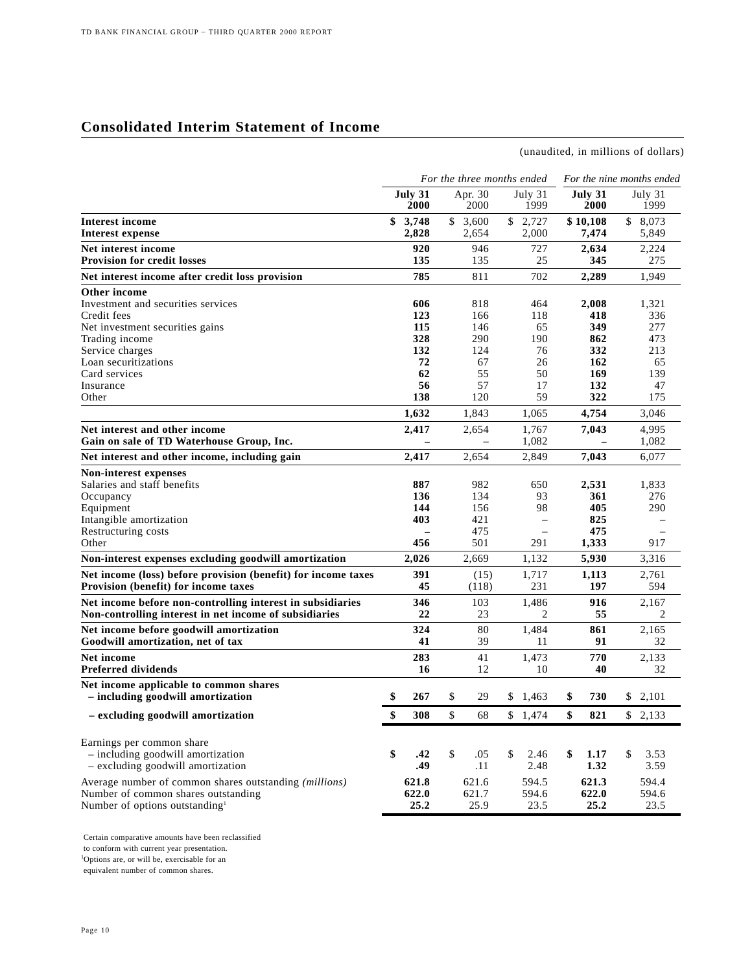## **Consolidated Interim Statement of Income**

(unaudited, in millions of dollars)

|                                                                             |                 | For the three months ended |                          | For the nine months ended |                 |                 |  |
|-----------------------------------------------------------------------------|-----------------|----------------------------|--------------------------|---------------------------|-----------------|-----------------|--|
|                                                                             | July 31<br>2000 | Apr. 30<br>2000            | July 31<br>1999          |                           | July 31<br>2000 | July 31<br>1999 |  |
| <b>Interest income</b>                                                      | \$<br>3,748     | \$<br>3,600                | \$<br>2,727              |                           | \$10,108        | \$<br>8,073     |  |
| <b>Interest expense</b>                                                     | 2,828           | 2,654                      | 2,000                    |                           | 7,474           | 5,849           |  |
| Net interest income                                                         | 920             | 946                        | 727                      |                           | 2,634           | 2,224           |  |
| <b>Provision for credit losses</b>                                          | 135             | 135                        | 25                       |                           | 345             | 275             |  |
| Net interest income after credit loss provision                             | 785             | 811                        | 702                      |                           | 2.289           | 1.949           |  |
| Other income                                                                |                 |                            |                          |                           |                 |                 |  |
| Investment and securities services                                          | 606             | 818                        | 464                      |                           | 2,008           | 1,321           |  |
| Credit fees                                                                 | 123             | 166                        | 118                      |                           | 418             | 336             |  |
| Net investment securities gains                                             | 115             | 146                        | 65                       |                           | 349             | 277             |  |
| Trading income                                                              | 328             | 290                        | 190                      |                           | 862             | 473             |  |
| Service charges                                                             | 132             | 124                        | 76                       |                           | 332             | 213             |  |
| Loan securitizations                                                        | 72              | 67                         | 26                       |                           | 162             | 65              |  |
| Card services                                                               | 62              | 55                         | 50                       |                           | 169             | 139             |  |
| Insurance                                                                   | 56              | 57                         | 17                       |                           | 132             | 47              |  |
| Other                                                                       | 138             | 120                        | 59                       |                           | 322             | 175             |  |
|                                                                             | 1,632           | 1,843                      | 1,065                    |                           | 4,754           | 3,046           |  |
| Net interest and other income                                               | 2,417           | 2,654                      | 1,767                    |                           | 7,043           | 4,995           |  |
| Gain on sale of TD Waterhouse Group, Inc.                                   |                 |                            | 1.082                    |                           |                 | 1,082           |  |
| Net interest and other income, including gain                               | 2.417           | 2,654                      | 2,849                    |                           | 7,043           | 6,077           |  |
| Non-interest expenses                                                       |                 |                            |                          |                           |                 |                 |  |
| Salaries and staff benefits                                                 | 887             | 982                        | 650                      |                           | 2,531           | 1,833           |  |
| Occupancy                                                                   | 136             | 134                        | 93                       |                           | 361             | 276             |  |
| Equipment                                                                   | 144             | 156                        | 98                       |                           | 405             | 290             |  |
| Intangible amortization                                                     | 403             | 421                        | $\overline{\phantom{0}}$ |                           | 825             |                 |  |
| Restructuring costs                                                         |                 | 475                        |                          |                           | 475             |                 |  |
| Other                                                                       | 456             | 501                        | 291                      |                           | 1,333           | 917             |  |
| Non-interest expenses excluding goodwill amortization                       | 2,026           | 2.669                      | 1,132                    |                           | 5,930           | 3,316           |  |
| Net income (loss) before provision (benefit) for income taxes               | 391             | (15)                       | 1,717                    |                           | 1,113           | 2,761           |  |
| Provision (benefit) for income taxes                                        | 45              | (118)                      | 231                      |                           | 197             | 594             |  |
| Net income before non-controlling interest in subsidiaries                  | 346             | 103                        | 1,486                    |                           | 916             | 2.167           |  |
| Non-controlling interest in net income of subsidiaries                      | 22              | 23                         | 2                        |                           | 55              | 2               |  |
| Net income before goodwill amortization                                     | 324             | 80                         | 1,484                    |                           | 861             | 2,165           |  |
| Goodwill amortization, net of tax                                           | 41              | 39                         | 11                       |                           | 91              | 32              |  |
| Net income                                                                  | 283             | 41                         | 1,473                    |                           | 770             | 2.133           |  |
| <b>Preferred dividends</b>                                                  | 16              | 12                         | 10                       |                           | 40              | 32              |  |
| Net income applicable to common shares<br>- including goodwill amortization | \$<br>267       | \$<br>29                   | \$<br>1,463              | \$                        | 730             | \$2,101         |  |
| - excluding goodwill amortization                                           | \$<br>308       | \$<br>68                   | \$<br>1,474              | \$                        | 821             | \$2,133         |  |
|                                                                             |                 |                            |                          |                           |                 |                 |  |
| Earnings per common share                                                   |                 |                            |                          |                           |                 |                 |  |
| - including goodwill amortization                                           | \$<br>.42       | \$<br>.05                  | \$<br>2.46               | \$                        | 1.17            | \$<br>3.53      |  |
| - excluding goodwill amortization                                           | .49             | .11                        | 2.48                     |                           | 1.32            | 3.59            |  |
|                                                                             |                 |                            |                          |                           |                 |                 |  |
| Average number of common shares outstanding (millions)                      | 621.8           | 621.6                      | 594.5                    |                           | 621.3           | 594.4           |  |
| Number of common shares outstanding                                         | 622.0           | 621.7                      | 594.6                    |                           | 622.0           | 594.6           |  |
| Number of options outstanding <sup>1</sup>                                  | 25.2            | 25.9                       | 23.5                     |                           | 25.2            | 23.5            |  |

Certain comparative amounts have been reclassified

to conform with current year presentation. 1 Options are, or will be, exercisable for an

equivalent number of common shares.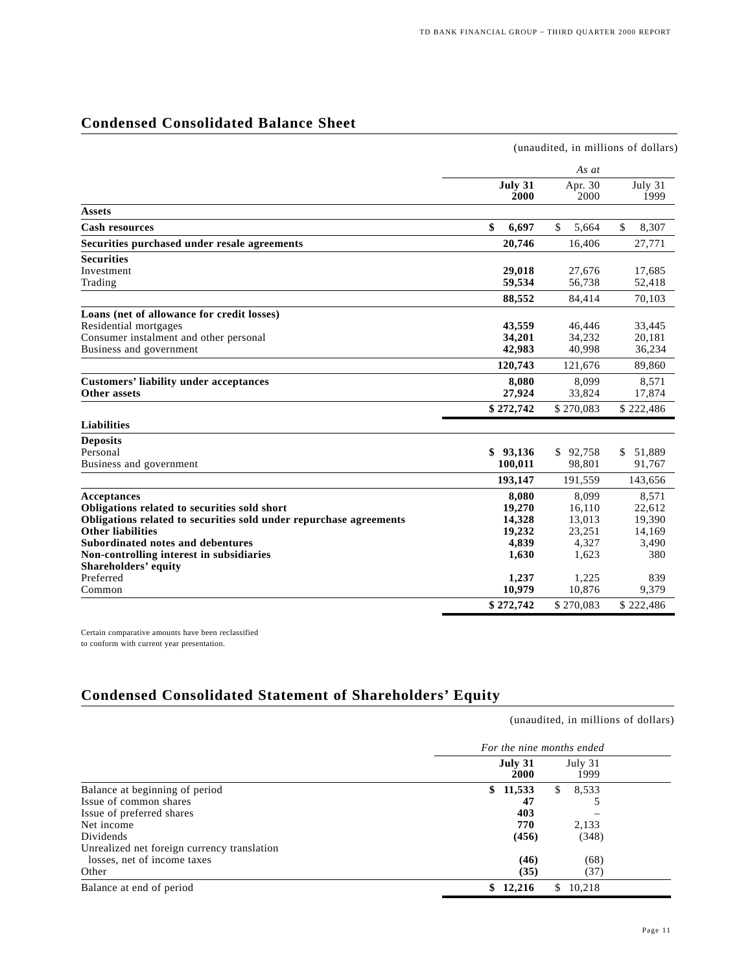## **Condensed Consolidated Balance Sheet**

|                                                                    |                 |                 | (unaudited, in millions of dollars) |
|--------------------------------------------------------------------|-----------------|-----------------|-------------------------------------|
|                                                                    |                 | As at           |                                     |
|                                                                    | July 31<br>2000 | Apr. 30<br>2000 | July 31<br>1999                     |
| <b>Assets</b>                                                      |                 |                 |                                     |
| <b>Cash resources</b>                                              | \$<br>6,697     | \$<br>5,664     | \$<br>8,307                         |
| Securities purchased under resale agreements                       | 20,746          | 16,406          | 27,771                              |
| <b>Securities</b>                                                  |                 |                 |                                     |
| Investment                                                         | 29,018          | 27,676          | 17,685                              |
| Trading                                                            | 59,534          | 56,738          | 52,418                              |
|                                                                    | 88,552          | 84,414          | 70,103                              |
| Loans (net of allowance for credit losses)                         |                 |                 |                                     |
| Residential mortgages                                              | 43,559          | 46,446          | 33,445                              |
| Consumer instalment and other personal                             | 34,201          | 34,232          | 20,181                              |
| Business and government                                            | 42,983          | 40,998          | 36,234                              |
|                                                                    | 120,743         | 121,676         | 89,860                              |
| <b>Customers' liability under acceptances</b>                      | 8.080           | 8.099           | 8,571                               |
| Other assets                                                       | 27,924          | 33,824          | 17,874                              |
|                                                                    | \$272,742       | \$270,083       | \$222,486                           |
| <b>Liabilities</b>                                                 |                 |                 |                                     |
| <b>Deposits</b>                                                    |                 |                 |                                     |
| Personal                                                           | \$93,136        | \$92,758        | \$ 51,889                           |
| Business and government                                            | 100,011         | 98,801          | 91,767                              |
|                                                                    | 193,147         | 191,559         | 143,656                             |
| Acceptances                                                        | 8,080           | 8,099           | 8,571                               |
| Obligations related to securities sold short                       | 19,270          | 16,110          | 22,612                              |
| Obligations related to securities sold under repurchase agreements | 14,328          | 13,013          | 19,390                              |
| <b>Other liabilities</b>                                           | 19,232          | 23,251          | 14,169                              |
| Subordinated notes and debentures                                  | 4,839           | 4,327           | 3,490                               |
| Non-controlling interest in subsidiaries                           | 1,630           | 1,623           | 380                                 |
| Shareholders' equity                                               |                 |                 |                                     |
| Preferred                                                          | 1,237           | 1,225           | 839                                 |
| Common                                                             | 10,979          | 10,876          | 9,379                               |
|                                                                    | \$272,742       | \$270,083       | \$222,486                           |

Certain comparative amounts have been reclassified to conform with current year presentation.

## **Condensed Consolidated Statement of Shareholders' Equity**

(unaudited, in millions of dollars)

|                                             | For the nine months ended |                 |  |  |  |
|---------------------------------------------|---------------------------|-----------------|--|--|--|
|                                             | July 31<br>2000           | July 31<br>1999 |  |  |  |
| Balance at beginning of period              | \$11,533                  | 8,533<br>S      |  |  |  |
| Issue of common shares                      | 47                        |                 |  |  |  |
| Issue of preferred shares                   | 403                       |                 |  |  |  |
| Net income                                  | 770                       | 2,133           |  |  |  |
| Dividends                                   | (456)                     | (348)           |  |  |  |
| Unrealized net foreign currency translation |                           |                 |  |  |  |
| losses, net of income taxes                 | (46)                      | (68)            |  |  |  |
| Other                                       | (35)                      | (37)            |  |  |  |
| Balance at end of period                    | 12,216                    | 10,218          |  |  |  |